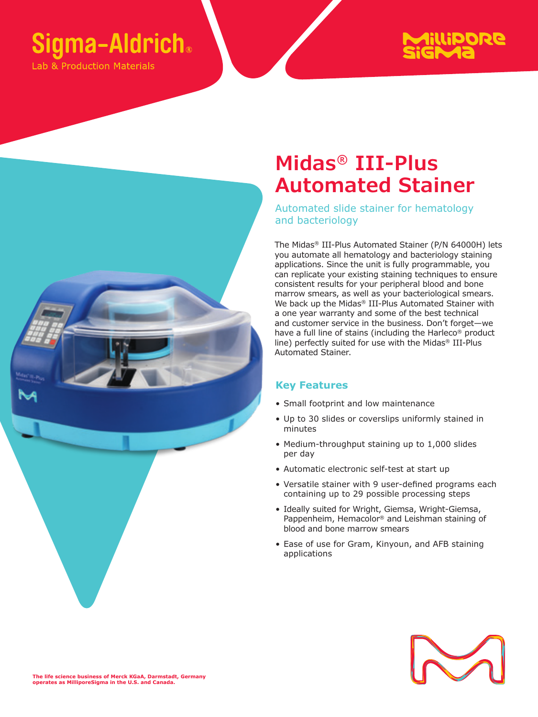# **Sigma-Aldrich**®

ab & Production Materials





## **Midas® III-Plus Automated Stainer**

Automated slide stainer for hematology and bacteriology

The Midas® III-Plus Automated Stainer (P/N 64000H) lets you automate all hematology and bacteriology staining applications. Since the unit is fully programmable, you can replicate your existing staining techniques to ensure consistent results for your peripheral blood and bone marrow smears, as well as your bacteriological smears. We back up the Midas® III-Plus Automated Stainer with a one year warranty and some of the best technical and customer service in the business. Don't forget—we have a full line of stains (including the Harleco® product line) perfectly suited for use with the Midas® III-Plus Automated Stainer.

### **Key Features**

- Small footprint and low maintenance
- Up to 30 slides or coverslips uniformly stained in minutes
- Medium-throughput staining up to 1,000 slides per day
- Automatic electronic self-test at start up
- Versatile stainer with 9 user-defined programs each containing up to 29 possible processing steps
- Ideally suited for Wright, Giemsa, Wright-Giemsa, Pappenheim, Hemacolor® and Leishman staining of blood and bone marrow smears
- Ease of use for Gram, Kinyoun, and AFB staining applications